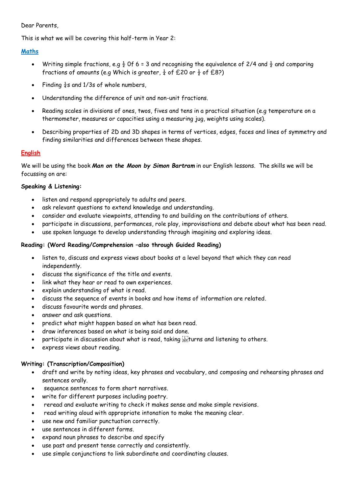#### Dear Parents,

This is what we will be covering this half-term in Year 2:

#### **Maths**

- Writing simple fractions, e.g  $\frac{1}{2}$  Of 6 = 3 and recognising the equivalence of 2/4 and  $\frac{1}{2}$  and comparing fractions of amounts (e.g Which is greater,  $\frac{1}{4}$  of £20 or  $\frac{1}{2}$  of £8?)
- Finding  $\frac{1}{4}$ s and 1/3s of whole numbers,
- Understanding the difference of unit and non-unit fractions.
- Reading scales in divisions of ones, twos, fives and tens in a practical situation (e.g temperature on a thermometer, measures or capacities using a measuring jug, weights using scales).
- Describing properties of 2D and 3D shapes in terms of vertices, edges, faces and lines of symmetry and finding similarities and differences between these shapes.

### **English**

We will be using the book *Man on the Moon by Simon Bartram* in our English lessons. The skills we will be focussing on are:

#### **Speaking & Listening:**

- listen and respond appropriately to adults and peers.
- ask relevant questions to extend knowledge and understanding.
- consider and evaluate viewpoints, attending to and building on the contributions of others.
- participate in discussions, performances, role play, improvisations and debate about what has been read.
- use spoken language to develop understanding through imagining and exploring ideas.

#### **Reading: (Word Reading/Comprehension –also through Guided Reading)**

- listen to, discuss and express views about books at a level beyond that which they can read independently.
- discuss the significance of the title and events.
- link what they hear or read to own experiences.
- explain understanding of what is read.
- discuss the sequence of events in books and how items of information are related.
- discuss favourite words and phrases.
- answer and ask questions.
- predict what might happen based on what has been read.
- draw inferences based on what is being said and done.
- participate in discussion about what is read, taking sections and listening to others.
- express views about reading.

#### **Writing: (Transcription/Composition)**

- draft and write by noting ideas, key phrases and vocabulary, and composing and rehearsing phrases and sentences orally.
- sequence sentences to form short narratives.
- write for different purposes including poetry.
- reread and evaluate writing to check it makes sense and make simple revisions.
- read writing aloud with appropriate intonation to make the meaning clear.
- use new and familiar punctuation correctly.
- use sentences in different forms.
- expand noun phrases to describe and specify
- use past and present tense correctly and consistently.
- use simple conjunctions to link subordinate and coordinating clauses.